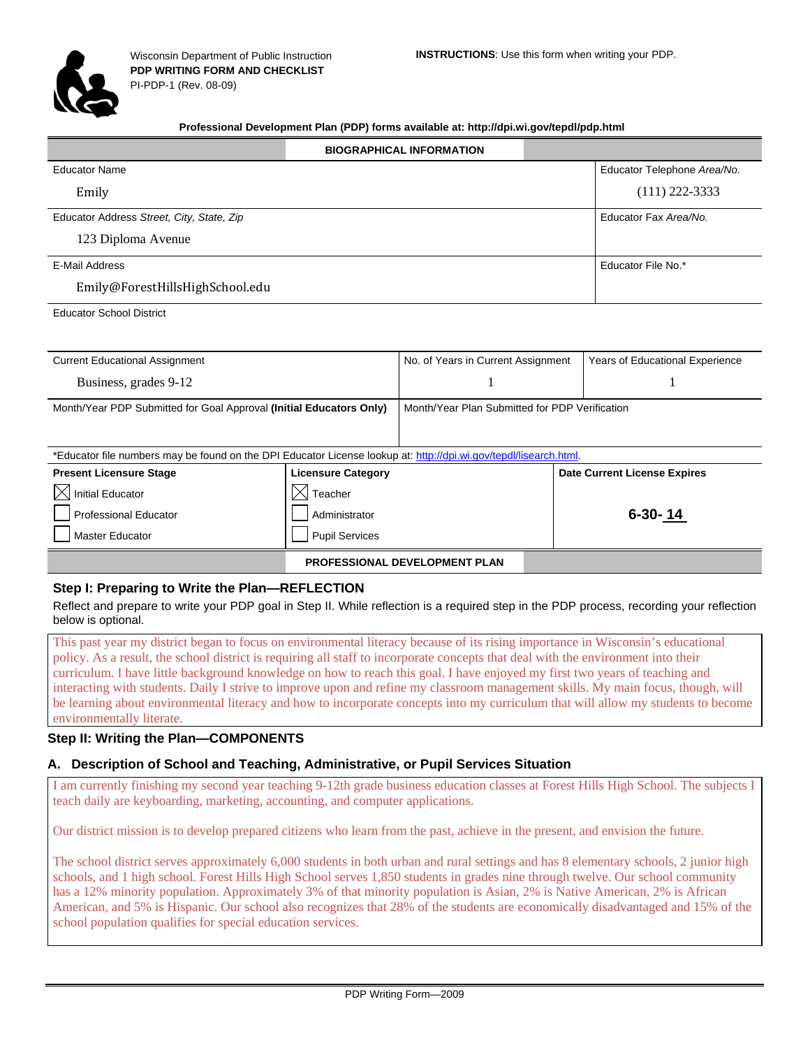

#### **Professional Development Plan (PDP) forms available at: http://dpi.wi.gov/tepdl/pdp.html**

|                                           | <b>BIOGRAPHICAL INFORMATION</b> |                             |
|-------------------------------------------|---------------------------------|-----------------------------|
| <b>Educator Name</b>                      |                                 | Educator Telephone Area/No. |
| Emily                                     |                                 | $(111)$ 222-3333            |
| Educator Address Street, City, State, Zip |                                 | Educator Fax Area/No.       |
| 123 Diploma Avenue                        |                                 |                             |
| E-Mail Address                            |                                 | Educator File No.*          |
| Emily@ForestHillsHighSchool.edu           |                                 |                             |
|                                           |                                 |                             |

Educator School District

| <b>Current Educational Assignment</b>                                                                             |                                                | No. of Years in Current Assignment   |  | <b>Years of Educational Experience</b> |
|-------------------------------------------------------------------------------------------------------------------|------------------------------------------------|--------------------------------------|--|----------------------------------------|
| Business, grades 9-12                                                                                             |                                                |                                      |  |                                        |
| Month/Year PDP Submitted for Goal Approval (Initial Educators Only)                                               | Month/Year Plan Submitted for PDP Verification |                                      |  |                                        |
| *Educator file numbers may be found on the DPI Educator License lookup at: http://dpi.wi.gov/tepdl/lisearch.html. |                                                |                                      |  |                                        |
| <b>Present Licensure Stage</b>                                                                                    | <b>Licensure Category</b>                      |                                      |  | <b>Date Current License Expires</b>    |
| <b>Initial Educator</b>                                                                                           | Teacher                                        |                                      |  |                                        |
| <b>Professional Educator</b>                                                                                      | Administrator                                  |                                      |  | $6 - 30 - 14$                          |
| Master Educator                                                                                                   | <b>Pupil Services</b>                          |                                      |  |                                        |
|                                                                                                                   |                                                | <b>PROFESSIONAL DEVELOPMENT PLAN</b> |  |                                        |

### **Step I: Preparing to Write the Plan—REFLECTION**

Reflect and prepare to write your PDP goal in Step II. While reflection is a required step in the PDP process, recording your reflection below is optional.

This past year my district began to focus on environmental literacy because of its rising importance in Wisconsin's educational policy. As a result, the school district is requiring all staff to incorporate concepts that deal with the environment into their curriculum. I have little background knowledge on how to reach this goal. I have enjoyed my first two years of teaching and interacting with students. Daily I strive to improve upon and refine my classroom management skills. My main focus, though, will be learning about environmental literacy and how to incorporate concepts into my curriculum that will allow my students to become environmentally literate.

#### **Step II: Writing the Plan—COMPONENTS**

### **A. Description of School and Teaching, Administrative, or Pupil Services Situation**

I am currently finishing my second year teaching 9-12th grade business education classes at Forest Hills High School. The subjects I teach daily are keyboarding, marketing, accounting, and computer applications.

Our district mission is to develop prepared citizens who learn from the past, achieve in the present, and envision the future.

The school district serves approximately 6,000 students in both urban and rural settings and has 8 elementary schools, 2 junior high schools, and 1 high school. Forest Hills High School serves 1,850 students in grades nine through twelve. Our school community has a 12% minority population. Approximately 3% of that minority population is Asian, 2% is Native American, 2% is African American, and 5% is Hispanic. Our school also recognizes that 28% of the students are economically disadvantaged and 15% of the school population qualifies for special education services.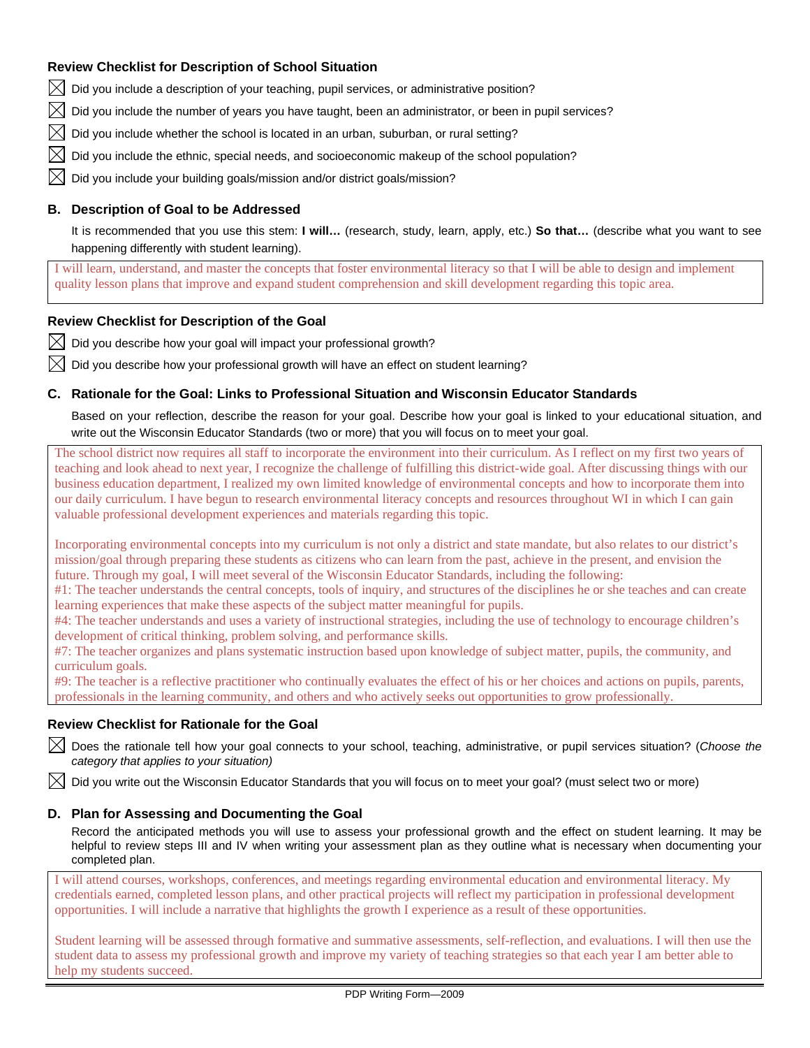## **Review Checklist for Description of School Situation**

 $\bowtie$  Did you include a description of your teaching, pupil services, or administrative position?

Did you include the number of years you have taught, been an administrator, or been in pupil services?

Did you include whether the school is located in an urban, suburban, or rural setting?

Did you include the ethnic, special needs, and socioeconomic makeup of the school population?

Did you include your building goals/mission and/or district goals/mission?

### **B. Description of Goal to be Addressed**

It is recommended that you use this stem: **I will…** (research, study, learn, apply, etc.) **So that…** (describe what you want to see happening differently with student learning).

I will learn, understand, and master the concepts that foster environmental literacy so that I will be able to design and implement quality lesson plans that improve and expand student comprehension and skill development regarding this topic area.

### **Review Checklist for Description of the Goal**

 $\boxtimes$  Did you describe how your goal will impact your professional growth?

Did you describe how your professional growth will have an effect on student learning?

### **C. Rationale for the Goal: Links to Professional Situation and Wisconsin Educator Standards**

Based on your reflection, describe the reason for your goal. Describe how your goal is linked to your educational situation, and write out the Wisconsin Educator Standards (two or more) that you will focus on to meet your goal.

The school district now requires all staff to incorporate the environment into their curriculum. As I reflect on my first two years of teaching and look ahead to next year, I recognize the challenge of fulfilling this district-wide goal. After discussing things with our business education department, I realized my own limited knowledge of environmental concepts and how to incorporate them into our daily curriculum. I have begun to research environmental literacy concepts and resources throughout WI in which I can gain valuable professional development experiences and materials regarding this topic.

Incorporating environmental concepts into my curriculum is not only a district and state mandate, but also relates to our district's mission/goal through preparing these students as citizens who can learn from the past, achieve in the present, and envision the future. Through my goal, I will meet several of the Wisconsin Educator Standards, including the following:

#1: The teacher understands the central concepts, tools of inquiry, and structures of the disciplines he or she teaches and can create learning experiences that make these aspects of the subject matter meaningful for pupils.

#4: The teacher understands and uses a variety of instructional strategies, including the use of technology to encourage children's development of critical thinking, problem solving, and performance skills.

#7: The teacher organizes and plans systematic instruction based upon knowledge of subject matter, pupils, the community, and curriculum goals.

#9: The teacher is a reflective practitioner who continually evaluates the effect of his or her choices and actions on pupils, parents, professionals in the learning community, and others and who actively seeks out opportunities to grow professionally.

### **Review Checklist for Rationale for the Goal**

 Does the rationale tell how your goal connects to your school, teaching, administrative, or pupil services situation? (*Choose the category that applies to your situation)* 

Did you write out the Wisconsin Educator Standards that you will focus on to meet your goal? (must select two or more)

### **D. Plan for Assessing and Documenting the Goal**

Record the anticipated methods you will use to assess your professional growth and the effect on student learning. It may be helpful to review steps III and IV when writing your assessment plan as they outline what is necessary when documenting your completed plan.

I will attend courses, workshops, conferences, and meetings regarding environmental education and environmental literacy. My credentials earned, completed lesson plans, and other practical projects will reflect my participation in professional development opportunities. I will include a narrative that highlights the growth I experience as a result of these opportunities.

Student learning will be assessed through formative and summative assessments, self-reflection, and evaluations. I will then use the student data to assess my professional growth and improve my variety of teaching strategies so that each year I am better able to help my students succeed.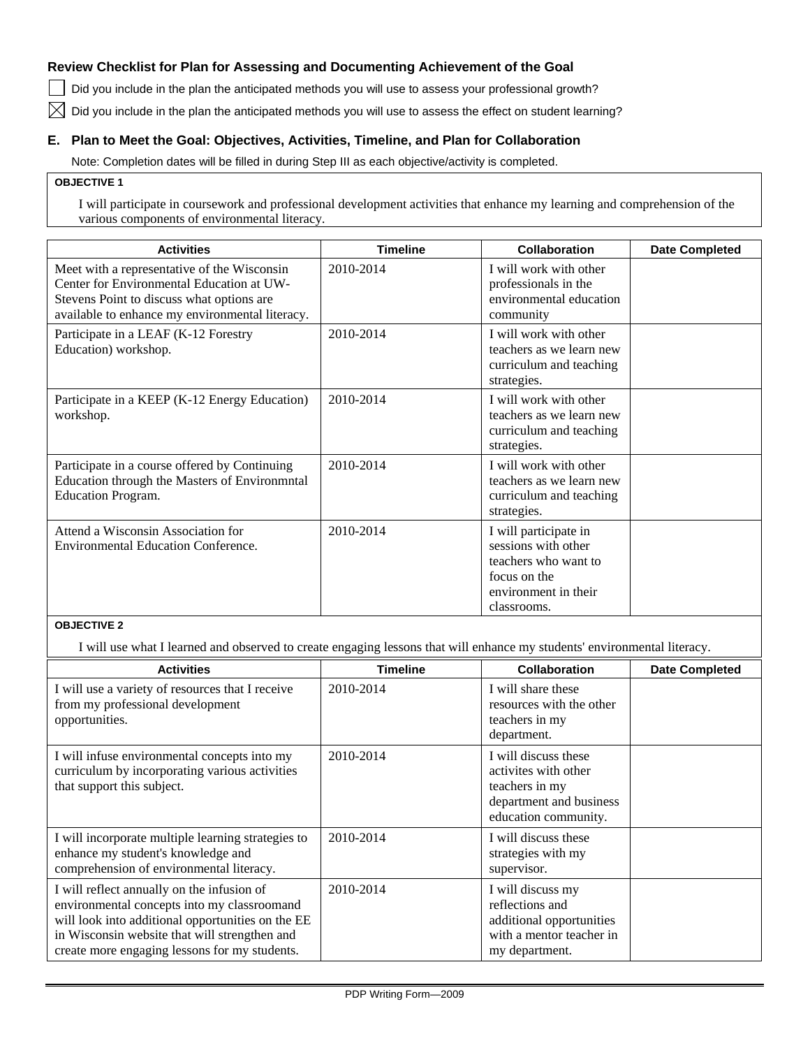## **Review Checklist for Plan for Assessing and Documenting Achievement of the Goal**

Did you include in the plan the anticipated methods you will use to assess your professional growth?

 $\boxtimes$  Did you include in the plan the anticipated methods you will use to assess the effect on student learning?

## **E. Plan to Meet the Goal: Objectives, Activities, Timeline, and Plan for Collaboration**

Note: Completion dates will be filled in during Step III as each objective/activity is completed.

#### **OBJECTIVE 1**

I will participate in coursework and professional development activities that enhance my learning and comprehension of the various components of environmental literacy.

| <b>Activities</b>                                                                                                                                                                        | <b>Timeline</b> | <b>Collaboration</b>                                                                                                        | <b>Date Completed</b> |
|------------------------------------------------------------------------------------------------------------------------------------------------------------------------------------------|-----------------|-----------------------------------------------------------------------------------------------------------------------------|-----------------------|
| Meet with a representative of the Wisconsin<br>Center for Environmental Education at UW-<br>Stevens Point to discuss what options are<br>available to enhance my environmental literacy. | 2010-2014       | I will work with other<br>professionals in the<br>environmental education<br>community                                      |                       |
| Participate in a LEAF (K-12 Forestry<br>Education) workshop.                                                                                                                             | 2010-2014       | I will work with other<br>teachers as we learn new<br>curriculum and teaching<br>strategies.                                |                       |
| Participate in a KEEP (K-12 Energy Education)<br>workshop.                                                                                                                               | 2010-2014       | I will work with other<br>teachers as we learn new<br>curriculum and teaching<br>strategies.                                |                       |
| Participate in a course offered by Continuing<br>Education through the Masters of Environmntal<br>Education Program.                                                                     | 2010-2014       | I will work with other<br>teachers as we learn new<br>curriculum and teaching<br>strategies.                                |                       |
| Attend a Wisconsin Association for<br><b>Environmental Education Conference.</b>                                                                                                         | 2010-2014       | I will participate in<br>sessions with other<br>teachers who want to<br>focus on the<br>environment in their<br>classrooms. |                       |

## **OBJECTIVE 2**

I will use what I learned and observed to create engaging lessons that will enhance my students' environmental literacy.

| <b>Activities</b>                                                                                                                                                                                                                                | <b>Timeline</b> | <b>Collaboration</b>                                                                                              | <b>Date Completed</b> |
|--------------------------------------------------------------------------------------------------------------------------------------------------------------------------------------------------------------------------------------------------|-----------------|-------------------------------------------------------------------------------------------------------------------|-----------------------|
| I will use a variety of resources that I receive<br>from my professional development<br>opportunities.                                                                                                                                           | 2010-2014       | I will share these<br>resources with the other<br>teachers in my<br>department.                                   |                       |
| I will infuse environmental concepts into my<br>curriculum by incorporating various activities<br>that support this subject.                                                                                                                     | 2010-2014       | I will discuss these<br>activites with other<br>teachers in my<br>department and business<br>education community. |                       |
| I will incorporate multiple learning strategies to<br>enhance my student's knowledge and<br>comprehension of environmental literacy.                                                                                                             | 2010-2014       | I will discuss these<br>strategies with my<br>supervisor.                                                         |                       |
| I will reflect annually on the infusion of<br>environmental concepts into my classroomand<br>will look into additional opportunities on the EE<br>in Wisconsin website that will strengthen and<br>create more engaging lessons for my students. | 2010-2014       | I will discuss my<br>reflections and<br>additional opportunities<br>with a mentor teacher in<br>my department.    |                       |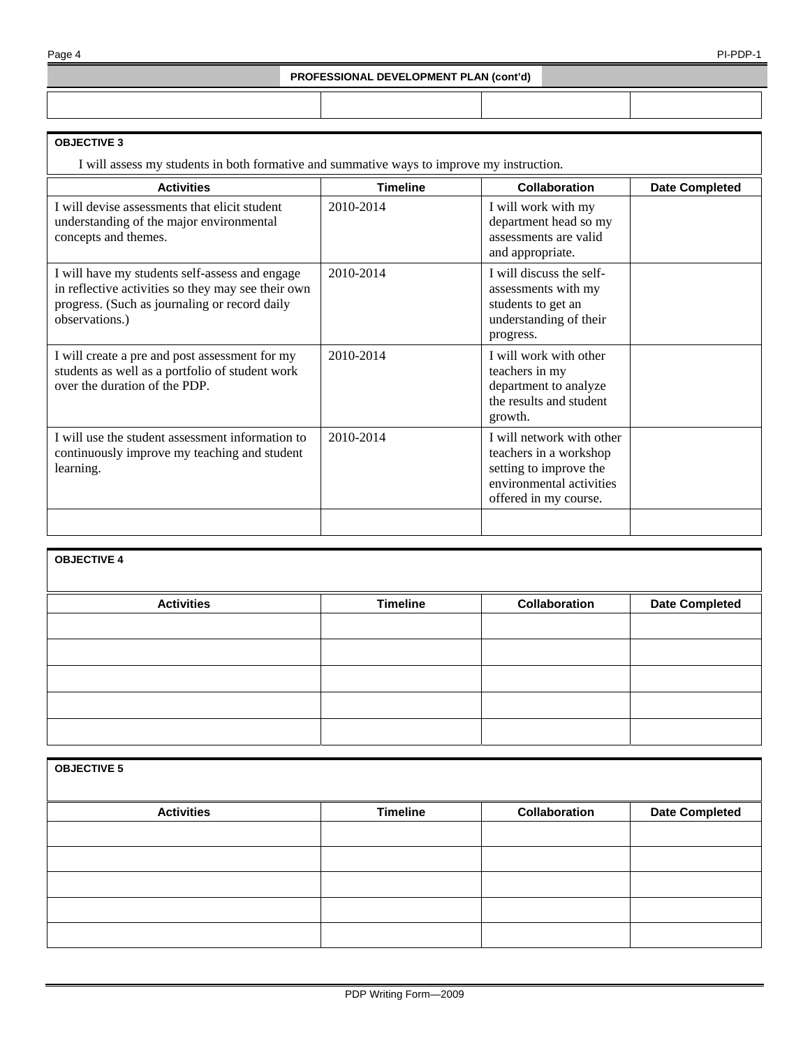#### **PROFESSIONAL DEVELOPMENT PLAN (cont'd)**

#### **OBJECTIVE 3**

I will assess my students in both formative and summative ways to improve my instruction.

| <b>Activities</b>                                                                                                                                                       | <b>Timeline</b> | <b>Collaboration</b>                                                                                                               | <b>Date Completed</b> |
|-------------------------------------------------------------------------------------------------------------------------------------------------------------------------|-----------------|------------------------------------------------------------------------------------------------------------------------------------|-----------------------|
| I will devise assessments that elicit student<br>understanding of the major environmental<br>concepts and themes.                                                       | 2010-2014       | I will work with my<br>department head so my<br>assessments are valid<br>and appropriate.                                          |                       |
| I will have my students self-assess and engage<br>in reflective activities so they may see their own<br>progress. (Such as journaling or record daily<br>observations.) | 2010-2014       | I will discuss the self-<br>assessments with my<br>students to get an<br>understanding of their<br>progress.                       |                       |
| I will create a pre and post assessment for my<br>students as well as a portfolio of student work<br>over the duration of the PDP.                                      | 2010-2014       | I will work with other<br>teachers in my<br>department to analyze<br>the results and student<br>growth.                            |                       |
| I will use the student assessment information to<br>continuously improve my teaching and student<br>learning.                                                           | 2010-2014       | I will network with other<br>teachers in a workshop<br>setting to improve the<br>environmental activities<br>offered in my course. |                       |
|                                                                                                                                                                         |                 |                                                                                                                                    |                       |

# **OBJECTIVE 4**

| <b>Activities</b> | <b>Timeline</b> | Collaboration | <b>Date Completed</b> |
|-------------------|-----------------|---------------|-----------------------|
|                   |                 |               |                       |
|                   |                 |               |                       |
|                   |                 |               |                       |
|                   |                 |               |                       |
|                   |                 |               |                       |
|                   |                 |               |                       |
|                   |                 |               |                       |
|                   |                 |               |                       |
|                   |                 |               |                       |
|                   |                 |               |                       |

| <b>OBJECTIVE 5</b> |                 |               |                       |
|--------------------|-----------------|---------------|-----------------------|
| <b>Activities</b>  | <b>Timeline</b> | Collaboration | <b>Date Completed</b> |
|                    |                 |               |                       |
|                    |                 |               |                       |
|                    |                 |               |                       |
|                    |                 |               |                       |
|                    |                 |               |                       |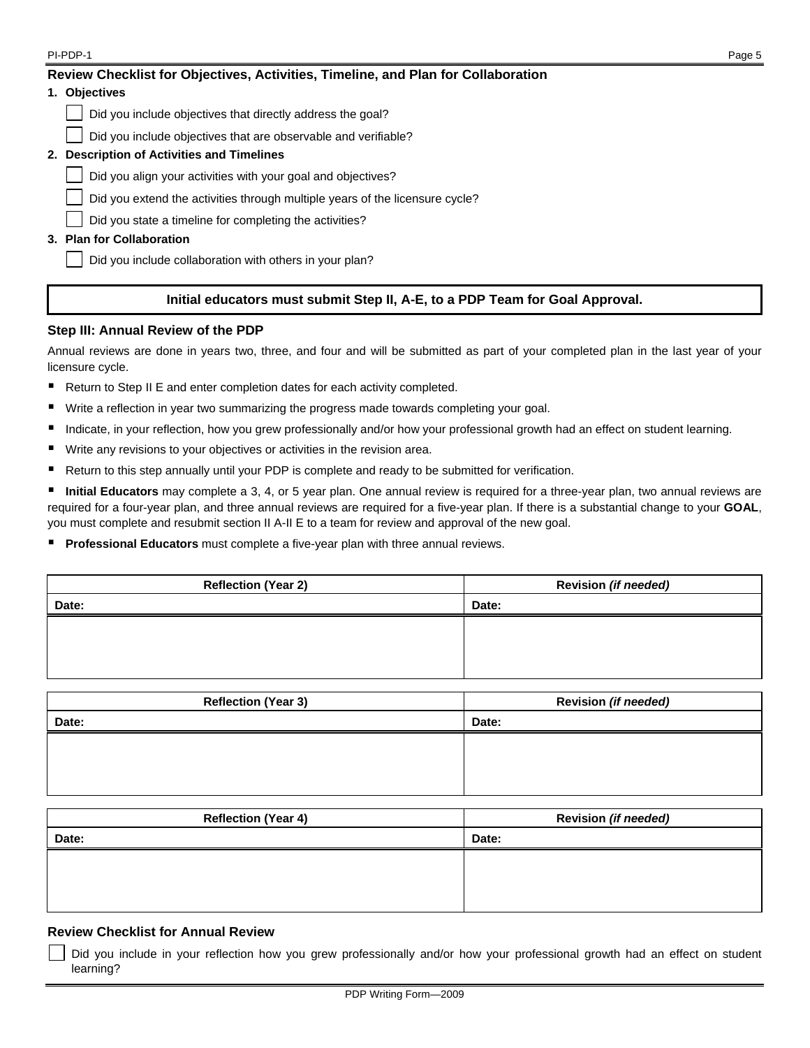| PI-PDP-1                                                                          | Page 5 |
|-----------------------------------------------------------------------------------|--------|
| Review Checklist for Objectives, Activities, Timeline, and Plan for Collaboration |        |
| 1. Objectives                                                                     |        |
| Did you include objectives that directly address the goal?                        |        |
| Did you include objectives that are observable and verifiable?                    |        |
| 2. Description of Activities and Timelines                                        |        |
| Did you align your activities with your goal and objectives?                      |        |
| Did you extend the activities through multiple years of the licensure cycle?      |        |
| Did you state a timeline for completing the activities?                           |        |
| 3. Plan for Collaboration                                                         |        |
| Did you include collaboration with others in your plan?                           |        |
|                                                                                   |        |

# **Initial educators must submit Step II, A-E, to a PDP Team for Goal Approval.**

### **Step III: Annual Review of the PDP**

Annual reviews are done in years two, three, and four and will be submitted as part of your completed plan in the last year of your licensure cycle.

- Return to Step II E and enter completion dates for each activity completed.
- Write a reflection in year two summarizing the progress made towards completing your goal.
- Indicate, in your reflection, how you grew professionally and/or how your professional growth had an effect on student learning.
- Write any revisions to your objectives or activities in the revision area.
- Return to this step annually until your PDP is complete and ready to be submitted for verification.

 **Initial Educators** may complete a 3, 4, or 5 year plan. One annual review is required for a three-year plan, two annual reviews are required for a four-year plan, and three annual reviews are required for a five-year plan. If there is a substantial change to your **GOAL**, you must complete and resubmit section II A-II E to a team for review and approval of the new goal.

**Professional Educators** must complete a five-year plan with three annual reviews.

| <b>Reflection (Year 2)</b> | Revision (if needed) |
|----------------------------|----------------------|
| Date:                      | Date:                |
|                            |                      |
|                            |                      |
|                            |                      |

| <b>Reflection (Year 3)</b> | Revision (if needed) |
|----------------------------|----------------------|
| Date:                      | Date:                |
|                            |                      |
|                            |                      |
|                            |                      |

| <b>Reflection (Year 4)</b> | Revision (if needed) |
|----------------------------|----------------------|
| Date:                      | Date:                |
|                            |                      |
|                            |                      |
|                            |                      |

## **Review Checklist for Annual Review**

 Did you include in your reflection how you grew professionally and/or how your professional growth had an effect on student learning?